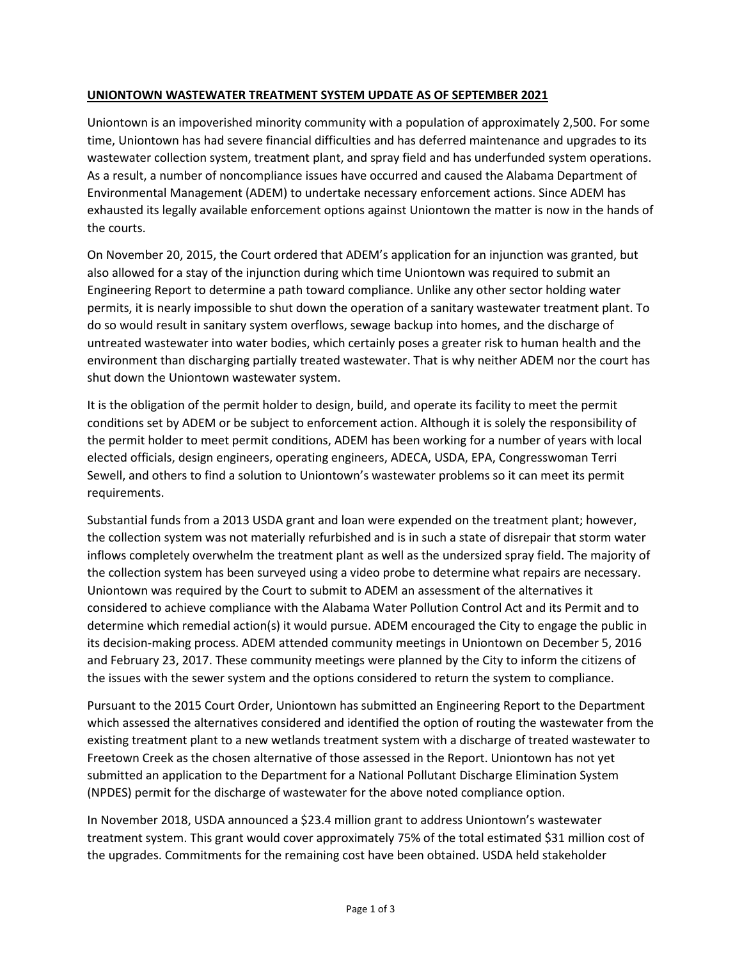## **UNIONTOWN WASTEWATER TREATMENT SYSTEM UPDATE AS OF SEPTEMBER 2021**

Uniontown is an impoverished minority community with a population of approximately 2,500. For some time, Uniontown has had severe financial difficulties and has deferred maintenance and upgrades to its wastewater collection system, treatment plant, and spray field and has underfunded system operations. As a result, a number of noncompliance issues have occurred and caused the Alabama Department of Environmental Management (ADEM) to undertake necessary enforcement actions. Since ADEM has exhausted its legally available enforcement options against Uniontown the matter is now in the hands of the courts.

On November 20, 2015, the Court ordered that ADEM's application for an injunction was granted, but also allowed for a stay of the injunction during which time Uniontown was required to submit an Engineering Report to determine a path toward compliance. Unlike any other sector holding water permits, it is nearly impossible to shut down the operation of a sanitary wastewater treatment plant. To do so would result in sanitary system overflows, sewage backup into homes, and the discharge of untreated wastewater into water bodies, which certainly poses a greater risk to human health and the environment than discharging partially treated wastewater. That is why neither ADEM nor the court has shut down the Uniontown wastewater system.

It is the obligation of the permit holder to design, build, and operate its facility to meet the permit conditions set by ADEM or be subject to enforcement action. Although it is solely the responsibility of the permit holder to meet permit conditions, ADEM has been working for a number of years with local elected officials, design engineers, operating engineers, ADECA, USDA, EPA, Congresswoman Terri Sewell, and others to find a solution to Uniontown's wastewater problems so it can meet its permit requirements.

Substantial funds from a 2013 USDA grant and loan were expended on the treatment plant; however, the collection system was not materially refurbished and is in such a state of disrepair that storm water inflows completely overwhelm the treatment plant as well as the undersized spray field. The majority of the collection system has been surveyed using a video probe to determine what repairs are necessary. Uniontown was required by the Court to submit to ADEM an assessment of the alternatives it considered to achieve compliance with the Alabama Water Pollution Control Act and its Permit and to determine which remedial action(s) it would pursue. ADEM encouraged the City to engage the public in its decision-making process. ADEM attended community meetings in Uniontown on December 5, 2016 and February 23, 2017. These community meetings were planned by the City to inform the citizens of the issues with the sewer system and the options considered to return the system to compliance.

Pursuant to the 2015 Court Order, Uniontown has submitted an Engineering Report to the Department which assessed the alternatives considered and identified the option of routing the wastewater from the existing treatment plant to a new wetlands treatment system with a discharge of treated wastewater to Freetown Creek as the chosen alternative of those assessed in the Report. Uniontown has not yet submitted an application to the Department for a National Pollutant Discharge Elimination System (NPDES) permit for the discharge of wastewater for the above noted compliance option.

In November 2018, USDA announced a \$23.4 million grant to address Uniontown's wastewater treatment system. This grant would cover approximately 75% of the total estimated \$31 million cost of the upgrades. Commitments for the remaining cost have been obtained. USDA held stakeholder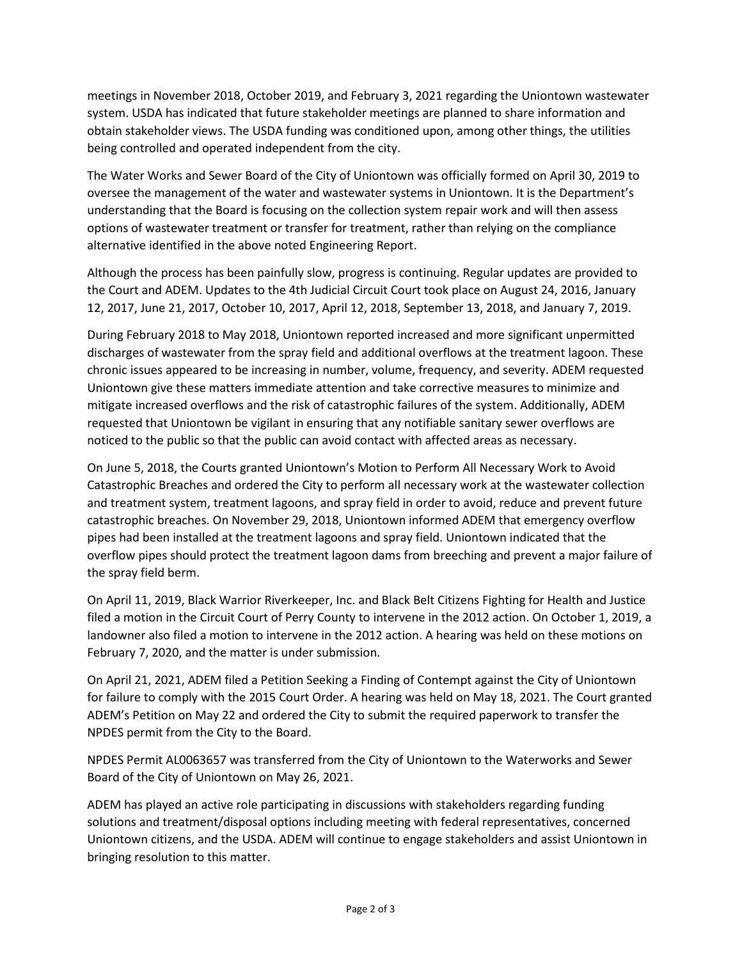meetings in November 2018, October 2019, and February 3, 2021 regarding the Uniontown wastewater system. USDA has indicated that future stakeholder meetings are planned to share information and obtain stakeholder views. The USDA funding was conditioned upon, among other things, the utilities being controlled and operated independent from the city.

The Water Works and Sewer Board of the City of Uniontown was officially formed on April 30, 2019 to oversee the management of the water and wastewater systems in Uniontown. It is the Department's understanding that the Board is focusing on the collection system repair work and will then assess options of wastewater treatment or transfer for treatment, rather than relying on the compliance alternative identified in the above noted Engineering Report.

Although the process has been painfully slow, progress is continuing. Regular updates are provided to the Court and ADEM. Updates to the 4th Judicial Circuit Court took place on August 24, 2016, January 12, 2017, June 21, 2017, October 10, 2017, April 12, 2018, September 13, 2018, and January 7, 2019.

During February 2018 to May 2018, Uniontown reported increased and more significant unpermitted discharges of wastewater from the spray field and additional overflows at the treatment lagoon. These chronic issues appeared to be increasing in number, volume, frequency, and severity. ADEM requested Uniontown give these matters immediate attention and take corrective measures to minimize and mitigate increased overflows and the risk of catastrophic failures of the system. Additionally, ADEM requested that Uniontown be vigilant in ensuring that any notifiable sanitary sewer overflows are noticed to the public so that the public can avoid contact with affected areas as necessary.

On June 5, 2018, the Courts granted Uniontown's Motion to Perform All Necessary Work to Avoid Catastrophic Breaches and ordered the City to perform all necessary work at the wastewater collection and treatment system, treatment lagoons, and spray field in order to avoid, reduce and prevent future catastrophic breaches. On November 29, 2018, Uniontown informed ADEM that emergency overflow pipes had been installed at the treatment lagoons and spray field. Uniontown indicated that the overflow pipes should protect the treatment lagoon dams from breeching and prevent a major failure of the spray field berm.

On April 11, 2019, Black Warrior Riverkeeper, Inc. and Black Belt Citizens Fighting for Health and Justice filed a motion in the Circuit Court of Perry County to intervene in the 2012 action. On October 1, 2019, a landowner also filed a motion to intervene in the 2012 action. A hearing was held on these motions on February 7, 2020, and the matter is under submission.

On April 21, 2021, ADEM filed a Petition Seeking a Finding of Contempt against the City of Uniontown for failure to comply with the 2015 Court Order. A hearing was held on May 18, 2021. The Court granted ADEM's Petition on May 22 and ordered the City to submit the required paperwork to transfer the NPDES permit from the City to the Board.

NPDES Permit AL0063657 was transferred from the City of Uniontown to the Waterworks and Sewer Board of the City of Uniontown on May 26, 2021.

ADEM has played an active role participating in discussions with stakeholders regarding funding solutions and treatment/disposal options including meeting with federal representatives, concerned Uniontown citizens, and the USDA. ADEM will continue to engage stakeholders and assist Uniontown in bringing resolution to this matter.